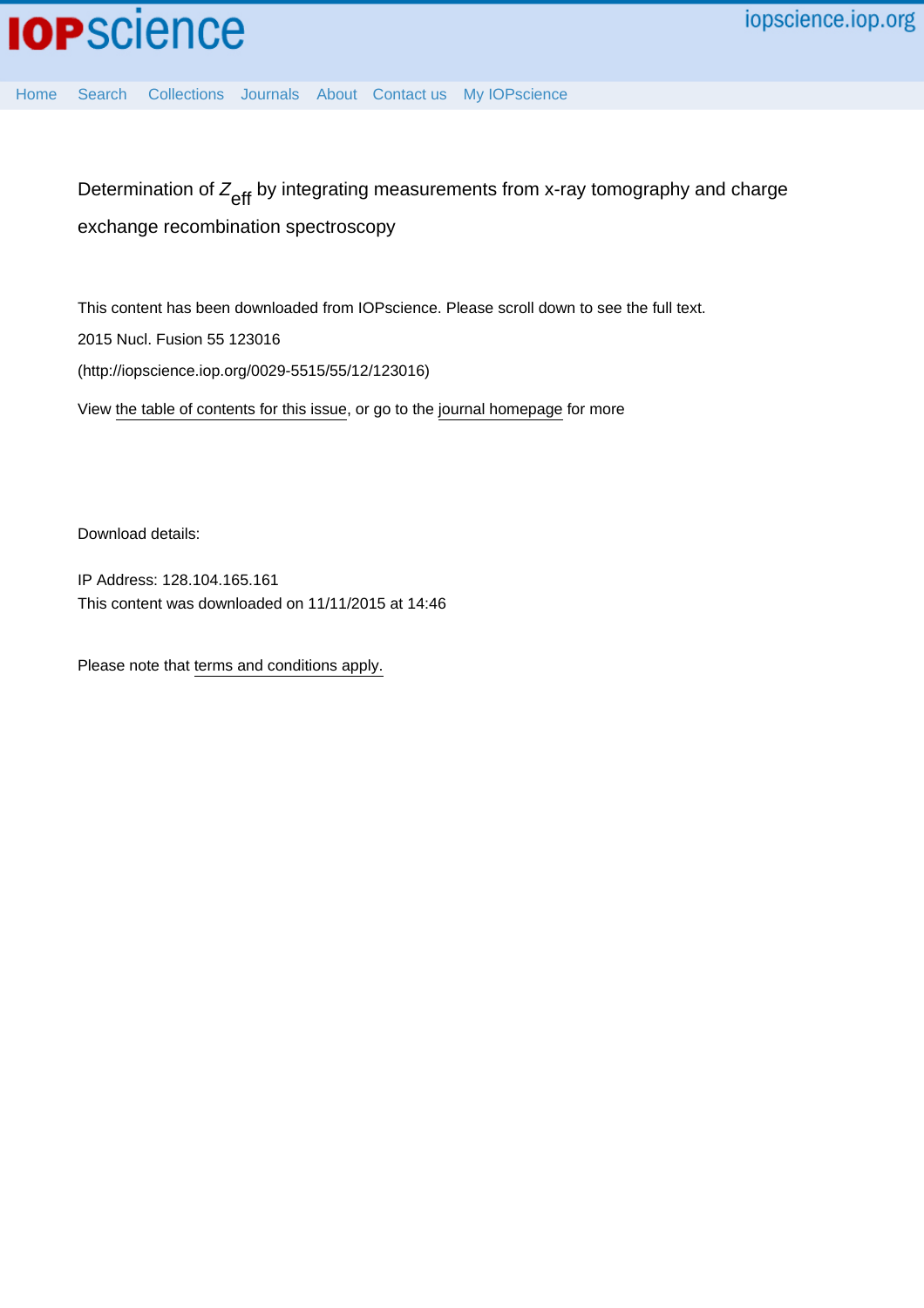

[Home](http://iopscience.iop.org/) [Search](http://iopscience.iop.org/search) [Collections](http://iopscience.iop.org/collections) [Journals](http://iopscience.iop.org/journals) [About](http://iopscience.iop.org/page/aboutioppublishing) [Contact us](http://iopscience.iop.org/contact) [My IOPscience](http://iopscience.iop.org/myiopscience)

Determination of  $\mathsf{Z}_\mathsf{eff}$  by integrating measurements from x-ray tomography and charge exchange recombination spectroscopy

This content has been downloaded from IOPscience. Please scroll down to see the full text. View [the table of contents for this issue](http://iopscience.iop.org/0029-5515/55/12), or go to the [journal homepage](http://iopscience.iop.org/0029-5515) for more 2015 Nucl. Fusion 55 123016 (http://iopscience.iop.org/0029-5515/55/12/123016)

Download details:

IP Address: 128.104.165.161 This content was downloaded on 11/11/2015 at 14:46

Please note that [terms and conditions apply.](iopscience.iop.org/page/terms)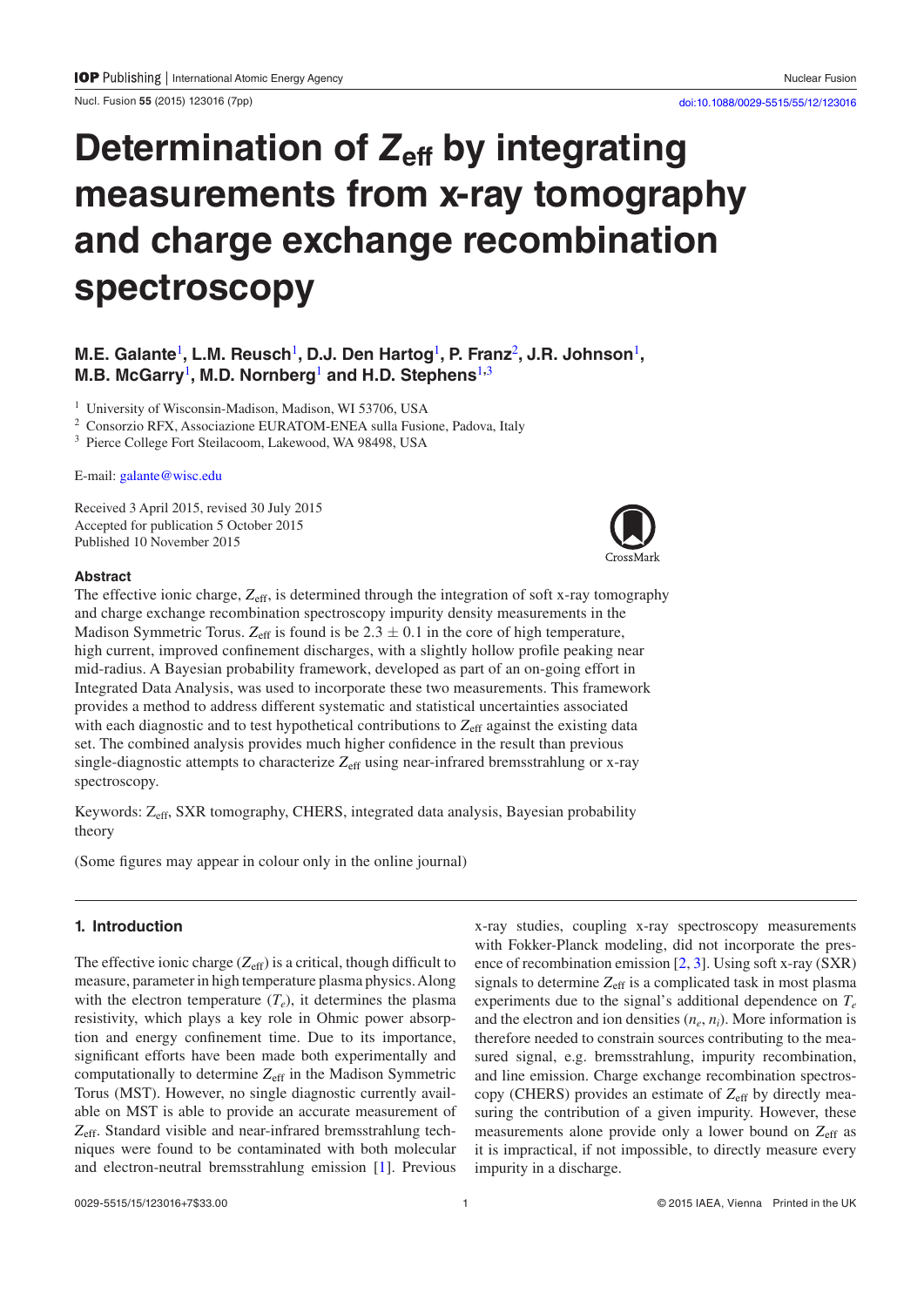Nucl. Fusion **55** (2015) 123016 ([7p](#page-7-3)p) [doi:10.1088/0029-5515/55/12/123016](http://dx.doi.org/10.1088/0029-5515/55/12/123016)

# **Determination of Z<sub>eff</sub> by integrating measurements from x-ray tomography and charge exchange recombination spectroscopy**

## **M.E. Galante<sup>[1](#page-1-0)</sup>, L.M. Reusch<sup>1</sup>, D.J. Den Hartog<sup>1</sup>, P. Franz<sup>[2](#page-1-1)</sup>, J.R. Johnson<sup>1</sup>, M.B. McGarry**[1](#page-1-0)**, M.D. Nornberg**[1](#page-1-0) **and H.D. Stephens**[1](#page-1-0)**,**[3](#page-1-2)

<span id="page-1-0"></span><sup>1</sup> University of Wisconsin-Madison, Madison, WI 53706, USA

<span id="page-1-1"></span><sup>2</sup> Consorzio RFX, Associazione EURATOM-ENEA sulla Fusione, Padova, Italy

<span id="page-1-2"></span><sup>3</sup> Pierce College Fort Steilacoom, Lakewood, WA 98498, USA

E-mail: [galante@wisc.edu](mailto:galante@wisc.edu)

Received 3 April 2015, revised 30 July 2015 Accepted for publication 5 October 2015 Published 10 November 2015

## **Abstract**

The effective ionic charge,  $Z_{\text{eff}}$ , is determined through the integration of soft x-ray tomography and charge exchange recombination spectroscopy impurity density measurements in the Madison Symmetric Torus.  $Z_{\text{eff}}$  is found is be  $2.3 \pm 0.1$  in the core of high temperature, high current, improved confinement discharges, with a slightly hollow profile peaking near mid-radius. A Bayesian probability framework, developed as part of an on-going effort in Integrated Data Analysis, was used to incorporate these two measurements. This framework provides a method to address different systematic and statistical uncertainties associated with each diagnostic and to test hypothetical contributions to  $Z_{\text{eff}}$  against the existing data set. The combined analysis provides much higher confidence in the result than previous single-diagnostic attempts to characterize  $Z_{\text{eff}}$  using near-infrared bremsstrahlung or x-ray spectroscopy.

Keywords: Zeff, SXR tomography, CHERS, integrated data analysis, Bayesian probability theory

(Some figures may appear in colour only in the online journal)

## **1. Introduction**

The effective ionic charge  $(Z_{\text{eff}})$  is a critical, though difficult to measure, parameter in high temperature plasma physics. Along with the electron temperature  $(T_e)$ , it determines the plasma resistivity, which plays a key role in Ohmic power absorption and energy confinement time. Due to its importance, significant efforts have been made both experimentally and computationally to determine *Z*eff in the Madison Symmetric Torus (MST). However, no single diagnostic currently available on MST is able to provide an accurate measurement of *Z*eff. Standard visible and near-infrared bremsstrahlung techniques were found to be contaminated with both molecular and electron-neutral bremsstrahlung emission [[1\]](#page-7-0). Previous x-ray studies, coupling x-ray spectroscopy measurements with Fokker-Planck modeling, did not incorporate the presence of recombination emission [\[2](#page-7-1), [3\]](#page-7-2). Using soft x-ray (SXR) signals to determine Z<sub>eff</sub> is a complicated task in most plasma experiments due to the signal's additional dependence on  $T_e$ and the electron and ion densities  $(n_e, n_i)$ . More information is therefore needed to constrain sources contributing to the measured signal, e.g. bremsstrahlung, impurity recombination, and line emission. Charge exchange recombination spectroscopy (CHERS) provides an estimate of  $Z_{\text{eff}}$  by directly measuring the contribution of a given impurity. However, these measurements alone provide only a lower bound on  $Z_{\text{eff}}$  as it is impractical, if not impossible, to directly measure every impurity in a discharge.

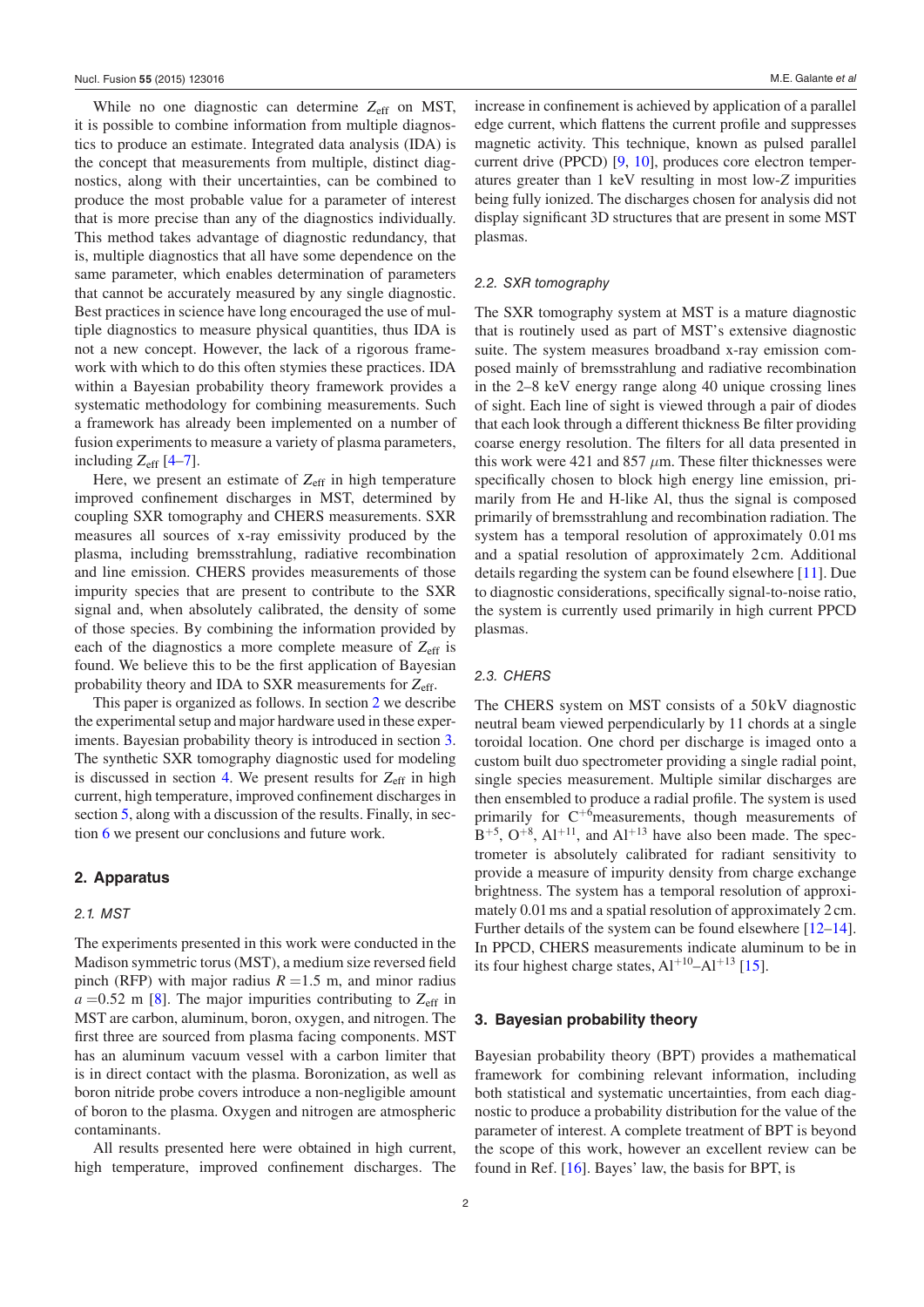While no one diagnostic can determine  $Z_{\text{eff}}$  on MST, it is possible to combine information from multiple diagnostics to produce an estimate. Integrated data analysis (IDA) is the concept that measurements from multiple, distinct diagnostics, along with their uncertainties, can be combined to produce the most probable value for a parameter of interest that is more precise than any of the diagnostics individually. This method takes advantage of diagnostic redundancy, that is, multiple diagnostics that all have some dependence on the same parameter, which enables determination of parameters that cannot be accurately measured by any single diagnostic. Best practices in science have long encouraged the use of multiple diagnostics to measure physical quantities, thus IDA is not a new concept. However, the lack of a rigorous framework with which to do this often stymies these practices. IDA within a Bayesian probability theory framework provides a systematic methodology for combining measurements. Such a framework has already been implemented on a number of fusion experiments to measure a variety of plasma parameters, including  $Z_{\text{eff}}$  [\[4](#page-7-4)–[7](#page-7-5)].

Here, we present an estimate of  $Z_{\text{eff}}$  in high temperature improved confinement discharges in MST, determined by coupling SXR tomography and CHERS measurements. SXR measures all sources of x-ray emissivity produced by the plasma, including bremsstrahlung, radiative recombination and line emission. CHERS provides measurements of those impurity species that are present to contribute to the SXR signal and, when absolutely calibrated, the density of some of those species. By combining the information provided by each of the diagnostics a more complete measure of Z<sub>eff</sub> is found. We believe this to be the first application of Bayesian probability theory and IDA to SXR measurements for *Z*eff.

This paper is organized as follows. In section [2](#page-2-0) we describe the experimental setup and major hardware used in these experiments. Bayesian probability theory is introduced in section [3.](#page-2-1) The synthetic SXR tomography diagnostic used for modeling is discussed in section [4.](#page-3-0) We present results for  $Z_{\text{eff}}$  in high current, high temperature, improved confinement discharges in section [5](#page-6-0), along with a discussion of the results. Finally, in section [6](#page-6-1) we present our conclusions and future work.

#### <span id="page-2-0"></span>**2. Apparatus**

#### *2.1. MST*

The experiments presented in this work were conducted in the Madison symmetric torus (MST), a medium size reversed field pinch (RFP) with major radius  $R = 1.5$  m, and minor radius  $a = 0.52$  m [\[8](#page-7-6)]. The major impurities contributing to  $Z_{\text{eff}}$  in MST are carbon, aluminum, boron, oxygen, and nitrogen. The first three are sourced from plasma facing components. MST has an aluminum vacuum vessel with a carbon limiter that is in direct contact with the plasma. Boronization, as well as boron nitride probe covers introduce a non-negligible amount of boron to the plasma. Oxygen and nitrogen are atmospheric contaminants.

All results presented here were obtained in high current, high temperature, improved confinement discharges. The increase in confinement is achieved by application of a parallel edge current, which flattens the current profile and suppresses magnetic activity. This technique, known as pulsed parallel current drive (PPCD) [\[9,](#page-7-7) [10](#page-7-8)], produces core electron temperatures greater than 1 keV resulting in most low-*Z* impurities being fully ionized. The discharges chosen for analysis did not display significant 3D structures that are present in some MST plasmas.

### *2.2. SXR tomography*

The SXR tomography system at MST is a mature diagnostic that is routinely used as part of MST's extensive diagnostic suite. The system measures broadband x-ray emission composed mainly of bremsstrahlung and radiative recombination in the 2–8 keV energy range along 40 unique crossing lines of sight. Each line of sight is viewed through a pair of diodes that each look through a different thickness Be filter providing coarse energy resolution. The filters for all data presented in this work were 421 and 857  $\mu$ m. These filter thicknesses were specifically chosen to block high energy line emission, primarily from He and H-like Al, thus the signal is composed primarily of bremsstrahlung and recombination radiation. The system has a temporal resolution of approximately 0.01 ms and a spatial resolution of approximately 2 cm. Additional details regarding the system can be found elsewhere [\[11](#page-7-9)]. Due to diagnostic considerations, specifically signal-to-noise ratio, the system is currently used primarily in high current PPCD plasmas.

#### *2.3. CHERS*

The CHERS system on MST consists of a 50kV diagnostic neutral beam viewed perpendicularly by 11 chords at a single toroidal location. One chord per discharge is imaged onto a custom built duo spectrometer providing a single radial point, single species measurement. Multiple similar discharges are then ensembled to produce a radial profile. The system is used primarily for C<sup>+6</sup>measurements, though measurements of  $B^{+5}$ ,  $O^{+8}$ ,  $Al^{+11}$ , and  $Al^{+13}$  have also been made. The spectrometer is absolutely calibrated for radiant sensitivity to provide a measure of impurity density from charge exchange brightness. The system has a temporal resolution of approximately 0.01ms and a spatial resolution of approximately 2cm. Further details of the system can be found elsewhere [\[12](#page-7-10)–[14](#page-7-11)]. In PPCD, CHERS measurements indicate aluminum to be in its four highest charge states,  $Al^{+10}–Al^{+13}$  [[15\]](#page-7-12).

#### <span id="page-2-1"></span>**3. Bayesian probability theory**

Bayesian probability theory (BPT) provides a mathematical framework for combining relevant information, including both statistical and systematic uncertainties, from each diagnostic to produce a probability distribution for the value of the parameter of interest. A complete treatment of BPT is beyond the scope of this work, however an excellent review can be found in Ref. [[16\]](#page-7-13). Bayes' law, the basis for BPT, is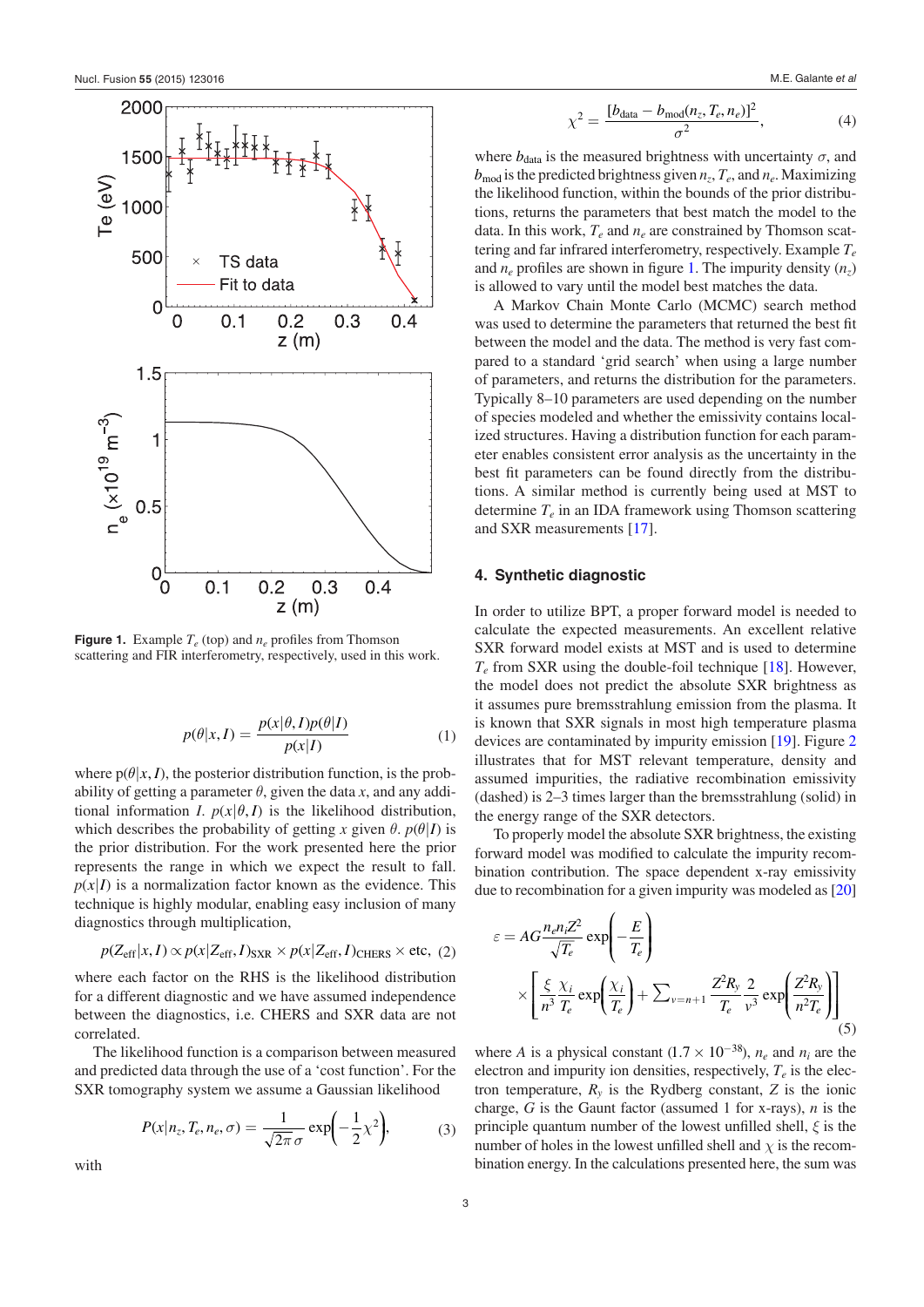<span id="page-3-1"></span>

**Figure 1.** Example *Te* (top) and *ne* profiles from Thomson scattering and FIR interferometry, respectively, used in this work.

$$
p(\theta|x, I) = \frac{p(x|\theta, I)p(\theta|I)}{p(x|I)}
$$
(1)

where  $p(\theta|x, I)$ , the posterior distribution function, is the probability of getting a parameter  $\theta$ , given the data *x*, and any additional information *I*.  $p(x|\theta, I)$  is the likelihood distribution, which describes the probability of getting *x* given  $\theta$ .  $p(\theta|I)$  is the prior distribution. For the work presented here the prior represents the range in which we expect the result to fall.  $p(x|I)$  is a normalization factor known as the evidence. This technique is highly modular, enabling easy inclusion of many diagnostics through multiplication,

$$
p(Z_{\text{eff}}|x, I) \propto p(x|Z_{\text{eff}}, I)_{\text{SXR}} \times p(x|Z_{\text{eff}}, I)_{\text{CHERS}} \times \text{etc.}
$$
 (2)

where each factor on the RHS is the likelihood distribution for a different diagnostic and we have assumed independence between the diagnostics, i.e. CHERS and SXR data are not correlated.

The likelihood function is a comparison between measured and predicted data through the use of a 'cost function'. For the SXR tomography system we assume a Gaussian likelihood

$$
P(x|n_z, T_e, n_e, \sigma) = \frac{1}{\sqrt{2\pi}\sigma} \exp\left(-\frac{1}{2}\chi^2\right),\tag{3}
$$

with

$$
\chi^2 = \frac{[b_{\text{data}} - b_{\text{mod}}(n_z, T_e, n_e)]^2}{\sigma^2},\tag{4}
$$

where  $b_{data}$  is the measured brightness with uncertainty  $\sigma$ , and  $b_{\text{mod}}$  is the predicted brightness given  $n_z$ ,  $T_e$ , and  $n_e$ . Maximizing the likelihood function, within the bounds of the prior distributions, returns the parameters that best match the model to the data. In this work,  $T_e$  and  $n_e$  are constrained by Thomson scattering and far infrared interferometry, respectively. Example *Te* and  $n_e$  profiles are shown in figure [1.](#page-3-1) The impurity density  $(n_z)$ is allowed to vary until the model best matches the data.

A Markov Chain Monte Carlo (MCMC) search method was used to determine the parameters that returned the best fit between the model and the data. The method is very fast compared to a standard 'grid search' when using a large number of parameters, and returns the distribution for the parameters. Typically 8–10 parameters are used depending on the number of species modeled and whether the emissivity contains localized structures. Having a distribution function for each parameter enables consistent error analysis as the uncertainty in the best fit parameters can be found directly from the distributions. A similar method is currently being used at MST to determine *Te* in an IDA framework using Thomson scattering and SXR measurements [[17\]](#page-7-14).

## <span id="page-3-0"></span>**4. Synthetic diagnostic**

In order to utilize BPT, a proper forward model is needed to calculate the expected measurements. An excellent relative SXR forward model exists at MST and is used to determine *Te* from SXR using the double-foil technique [\[18](#page-7-15)]. However, the model does not predict the absolute SXR brightness as it assumes pure bremsstrahlung emission from the plasma. It is known that SXR signals in most high temperature plasma devices are contaminated by impurity emission [\[19](#page-7-16)]. Figure [2](#page-4-0) illustrates that for MST relevant temperature, density and assumed impurities, the radiative recombination emissivity (dashed) is 2–3 times larger than the bremsstrahlung (solid) in the energy range of the SXR detectors.

To properly model the absolute SXR brightness, the existing forward model was modified to calculate the impurity recombination contribution. The space dependent x-ray emissivity due to recombination for a given impurity was modeled as [[20\]](#page-7-17)

$$
\varepsilon = AG \frac{n_e n_i Z^2}{\sqrt{T_e}} \exp\left(-\frac{E}{T_e}\right)
$$

$$
\times \left[\frac{\xi}{n^3} \frac{\chi_i}{T_e} \exp\left(\frac{\chi_i}{T_e}\right) + \sum_{\nu = n+1} \frac{Z^2 R_{\nu}}{T_e} \frac{2}{\nu^3} \exp\left(\frac{Z^2 R_{\nu}}{n^2 T_e}\right)\right]
$$
(5)

where *A* is a physical constant  $(1.7 \times 10^{-38})$ ,  $n_e$  and  $n_i$  are the electron and impurity ion densities, respectively,  $T_e$  is the electron temperature,  $R<sub>v</sub>$  is the Rydberg constant,  $Z$  is the ionic charge, *G* is the Gaunt factor (assumed 1 for x-rays), *n* is the principle quantum number of the lowest unfilled shell, *ξ* is the number of holes in the lowest unfilled shell and  $\chi$  is the recombination energy. In the calculations presented here, the sum was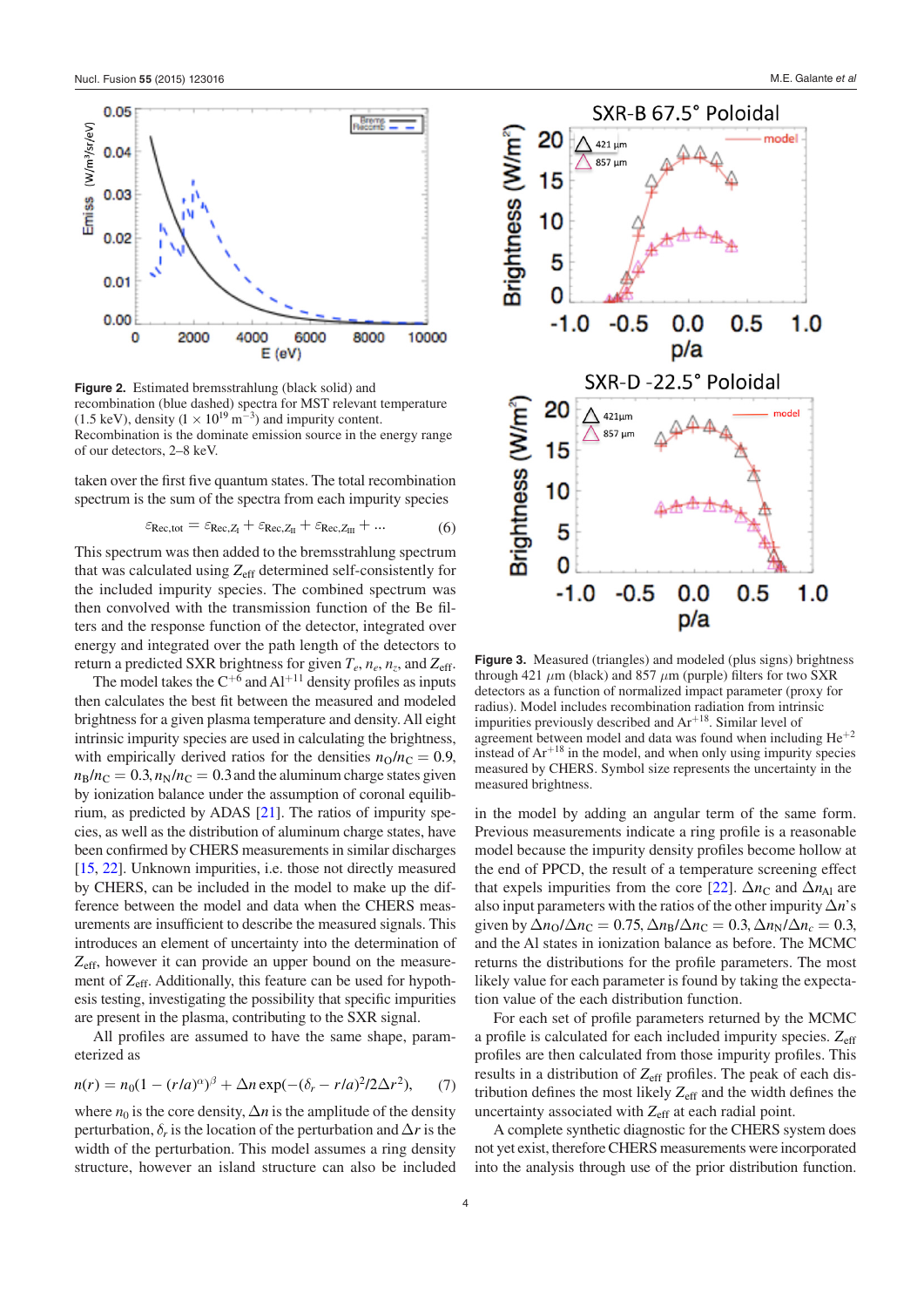<span id="page-4-0"></span>

**Figure 2.** Estimated bremsstrahlung (black solid) and recombination (blue dashed) spectra for MST relevant temperature (1.5 keV), density ( $1 \times 10^{19}$  m<sup>-3</sup>) and impurity content. Recombination is the dominate emission source in the energy range of our detectors, 2–8 keV.

taken over the first five quantum states. The total recombination spectrum is the sum of the spectra from each impurity species

$$
\varepsilon_{\text{Rec,tot}} = \varepsilon_{\text{Rec},Z_{\text{I}}} + \varepsilon_{\text{Rec},Z_{\text{II}}} + \varepsilon_{\text{Rec},Z_{\text{III}}} + \dots \tag{6}
$$

This spectrum was then added to the bremsstrahlung spectrum that was calculated using *Z*eff determined self-consistently for the included impurity species. The combined spectrum was then convolved with the transmission function of the Be filters and the response function of the detector, integrated over energy and integrated over the path length of the detectors to return a predicted SXR brightness for given  $T_e$ ,  $n_e$ ,  $n_z$ , and  $Z_{\text{eff}}$ .

The model takes the  $C^{+6}$  and  $Al^{+11}$  density profiles as inputs then calculates the best fit between the measured and modeled brightness for a given plasma temperature and density. All eight intrinsic impurity species are used in calculating the brightness, with empirically derived ratios for the densities  $n_0/n_c = 0.9$ ,  $n_{\rm B}/n_{\rm C} = 0.3$ ,  $n_{\rm N}/n_{\rm C} = 0.3$  and the aluminum charge states given by ionization balance under the assumption of coronal equilibrium, as predicted by ADAS [\[21\]](#page-7-18). The ratios of impurity species, as well as the distribution of aluminum charge states, have been confirmed by CHERS measurements in similar discharges [\[15](#page-7-12), [22](#page-7-19)]. Unknown impurities, i.e. those not directly measured by CHERS, can be included in the model to make up the difference between the model and data when the CHERS measurements are insufficient to describe the measured signals. This introduces an element of uncertainty into the determination of *Z*eff, however it can provide an upper bound on the measurement of *Z*eff. Additionally, this feature can be used for hypothesis testing, investigating the possibility that specific impurities are present in the plasma, contributing to the SXR signal.

All profiles are assumed to have the same shape, parameterized as

$$
n(r) = n_0(1 - (r/a)^{\alpha})^{\beta} + \Delta n \exp(-(\delta_r - r/a)^2/2\Delta r^2), \qquad (7)
$$

where  $n_0$  is the core density,  $\Delta n$  is the amplitude of the density perturbation,  $\delta_r$  is the location of the perturbation and  $\Delta r$  is the width of the perturbation. This model assumes a ring density structure, however an island structure can also be included



<span id="page-4-1"></span>

**Figure 3.** Measured (triangles) and modeled (plus signs) brightness through 421  $\mu$ m (black) and 857  $\mu$ m (purple) filters for two SXR detectors as a function of normalized impact parameter (proxy for radius). Model includes recombination radiation from intrinsic impurities previously described and  $Ar^{+18}$ . Similar level of agreement between model and data was found when including  $He^{+2}$ instead of  $Ar^{+18}$  in the model, and when only using impurity species measured by CHERS. Symbol size represents the uncertainty in the measured brightness.

in the model by adding an angular term of the same form. Previous measurements indicate a ring profile is a reasonable model because the impurity density profiles become hollow at the end of PPCD, the result of a temperature screening effect that expels impurities from the core [\[22](#page-7-19)].  $\Delta n_{\rm C}$  and  $\Delta n_{\rm Al}$  are also input parameters with the ratios of the other impurity ∆*n*'s given by  $\Delta n_{\rm O}/\Delta n_{\rm C} = 0.75$ ,  $\Delta n_{\rm B}/\Delta n_{\rm C} = 0.3$ ,  $\Delta n_{\rm N}/\Delta n_c = 0.3$ , and the Al states in ionization balance as before. The MCMC returns the distributions for the profile parameters. The most likely value for each parameter is found by taking the expectation value of the each distribution function.

For each set of profile parameters returned by the MCMC a profile is calculated for each included impurity species. Z<sub>eff</sub> profiles are then calculated from those impurity profiles. This results in a distribution of *Z*eff profiles. The peak of each distribution defines the most likely *Z*eff and the width defines the uncertainty associated with  $Z_{\text{eff}}$  at each radial point.

A complete synthetic diagnostic for the CHERS system does not yet exist, therefore CHERS measurements were incorporated into the analysis through use of the prior distribution function.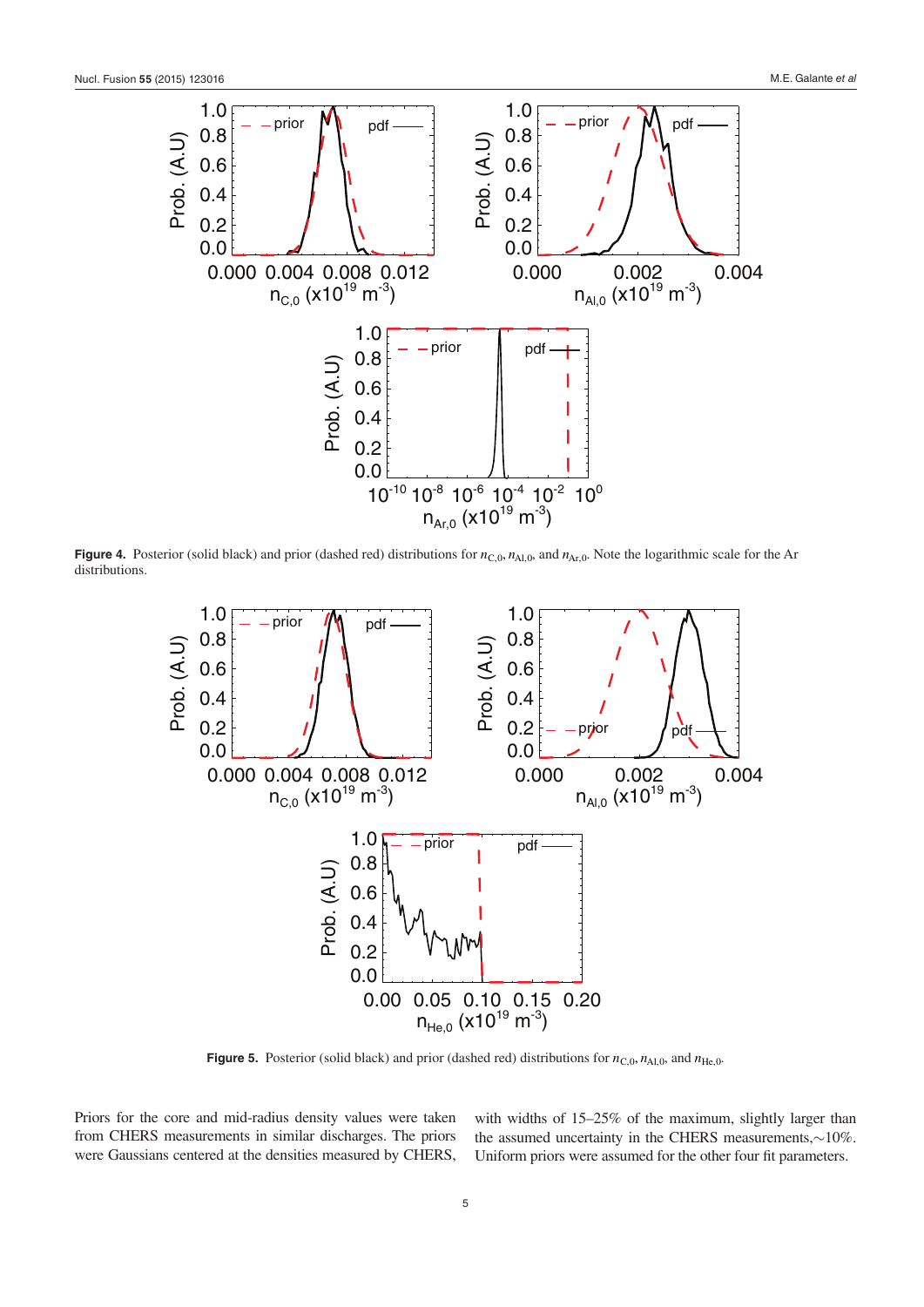<span id="page-5-0"></span>

**Figure 4.** Posterior (solid black) and prior (dashed red) distributions for  $n_{C,0}$ ,  $n_{A1,0}$ , and  $n_{Ar,0}$ . Note the logarithmic scale for the Ar distributions.

<span id="page-5-1"></span>

**Figure 5.** Posterior (solid black) and prior (dashed red) distributions for  $n_{\text{C},0}$ ,  $n_{\text{Al},0}$ , and  $n_{\text{He},0}$ .

Priors for the core and mid-radius density values were taken from CHERS measurements in similar discharges. The priors were Gaussians centered at the densities measured by CHERS, with widths of 15–25% of the maximum, slightly larger than the assumed uncertainty in the CHERS measurements,∼10%. Uniform priors were assumed for the other four fit parameters.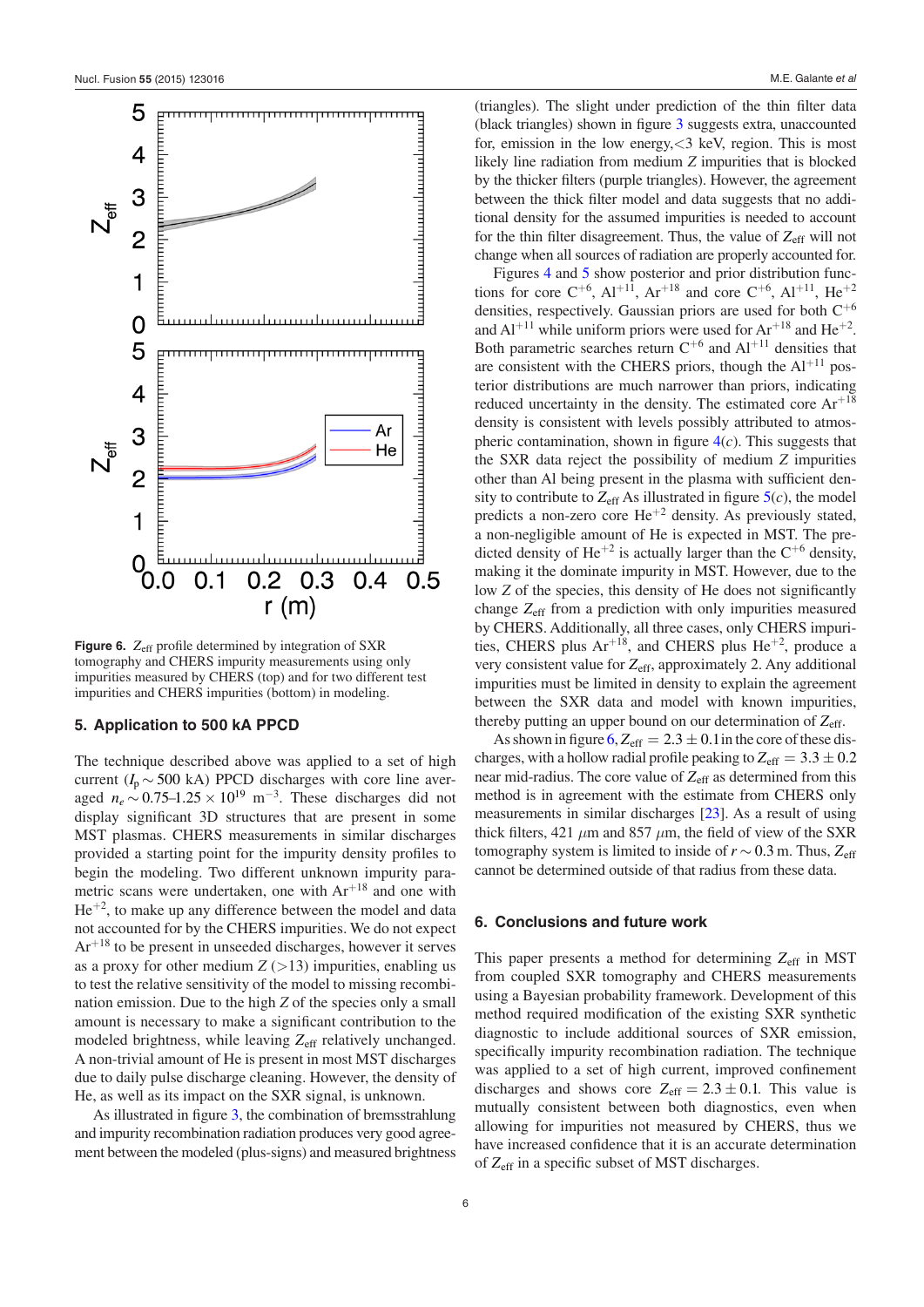<span id="page-6-2"></span>

**Figure 6.** Z<sub>eff</sub> profile determined by integration of SXR tomography and CHERS impurity measurements using only impurities measured by CHERS (top) and for two different test impurities and CHERS impurities (bottom) in modeling.

## <span id="page-6-0"></span>**5. Application to 500 kA PPCD**

The technique described above was applied to a set of high current ( $I_p \sim 500$  kA) PPCD discharges with core line averaged  $n_e$  ∼ 0.75–1.25 × 10<sup>19</sup> m<sup>-3</sup>. These discharges did not display significant 3D structures that are present in some MST plasmas. CHERS measurements in similar discharges provided a starting point for the impurity density profiles to begin the modeling. Two different unknown impurity parametric scans were undertaken, one with Ar<sup>+18</sup> and one with  $He^{+2}$ , to make up any difference between the model and data not accounted for by the CHERS impurities. We do not expect  $Ar^{+18}$  to be present in unseeded discharges, however it serves as a proxy for other medium  $Z$  ( $>$ 13) impurities, enabling us to test the relative sensitivity of the model to missing recombination emission. Due to the high *Z* of the species only a small amount is necessary to make a significant contribution to the modeled brightness, while leaving Z<sub>eff</sub> relatively unchanged. A non-trivial amount of He is present in most MST discharges due to daily pulse discharge cleaning. However, the density of He, as well as its impact on the SXR signal, is unknown.

As illustrated in figure [3,](#page-4-1) the combination of bremsstrahlung and impurity recombination radiation produces very good agreement between the modeled (plus-signs) and measured brightness (triangles). The slight under prediction of the thin filter data (black triangles) shown in figure [3](#page-4-1) suggests extra, unaccounted for, emission in the low energy,<3 keV, region. This is most likely line radiation from medium *Z* impurities that is blocked by the thicker filters (purple triangles). However, the agreement between the thick filter model and data suggests that no additional density for the assumed impurities is needed to account for the thin filter disagreement. Thus, the value of  $Z_{\text{eff}}$  will not change when all sources of radiation are properly accounted for.

Figures [4](#page-5-0) and [5](#page-5-1) show posterior and prior distribution functions for core  $C^{+6}$ ,  $Al^{+11}$ ,  $Ar^{+18}$  and core  $C^{+6}$ ,  $Al^{+11}$ ,  $He^{+2}$ densities, respectively. Gaussian priors are used for both  $C^{+6}$ and  $Al^{+11}$  while uniform priors were used for  $Ar^{+18}$  and  $He^{+2}$ . Both parametric searches return  $C^{+6}$  and  $Al^{+11}$  densities that are consistent with the CHERS priors, though the  $Al<sup>+11</sup>$  posterior distributions are much narrower than priors, indicating reduced uncertainty in the density. The estimated core  $Ar^{+18}$ density is consistent with levels possibly attributed to atmospheric contamination, shown in figure [4\(](#page-5-0)*c*). This suggests that the SXR data reject the possibility of medium *Z* impurities other than Al being present in the plasma with sufficient density to contribute to  $Z_{\text{eff}}$  As illustrated in figure  $5(c)$ , the model predicts a non-zero core  $He^{+2}$  density. As previously stated, a non-negligible amount of He is expected in MST. The predicted density of He<sup>+2</sup> is actually larger than the  $C^{+6}$  density, making it the dominate impurity in MST. However, due to the low *Z* of the species, this density of He does not significantly change *Z*eff from a prediction with only impurities measured by CHERS. Additionally, all three cases, only CHERS impurities, CHERS plus  $Ar^{+18}$ , and CHERS plus  $He^{+2}$ , produce a very consistent value for *Z*eff, approximately 2. Any additional impurities must be limited in density to explain the agreement between the SXR data and model with known impurities, thereby putting an upper bound on our determination of *Z*eff.

As shown in figure  $6$ ,  $Z_{\text{eff}} = 2.3 \pm 0.1$  in the core of these discharges, with a hollow radial profile peaking to  $Z_{\text{eff}} = 3.3 \pm 0.2$ near mid-radius. The core value of *Z*eff as determined from this method is in agreement with the estimate from CHERS only measurements in similar discharges [\[23](#page-7-20)]. As a result of using thick filters, 421  $\mu$ m and 857  $\mu$ m, the field of view of the SXR tomography system is limited to inside of  $r \sim 0.3$  m. Thus,  $Z_{\text{eff}}$ cannot be determined outside of that radius from these data.

#### <span id="page-6-1"></span>**6. Conclusions and future work**

This paper presents a method for determining  $Z_{\text{eff}}$  in MST from coupled SXR tomography and CHERS measurements using a Bayesian probability framework. Development of this method required modification of the existing SXR synthetic diagnostic to include additional sources of SXR emission, specifically impurity recombination radiation. The technique was applied to a set of high current, improved confinement discharges and shows core  $Z_{\text{eff}} = 2.3 \pm 0.1$ . This value is mutually consistent between both diagnostics, even when allowing for impurities not measured by CHERS, thus we have increased confidence that it is an accurate determination of  $Z_{\text{eff}}$  in a specific subset of MST discharges.